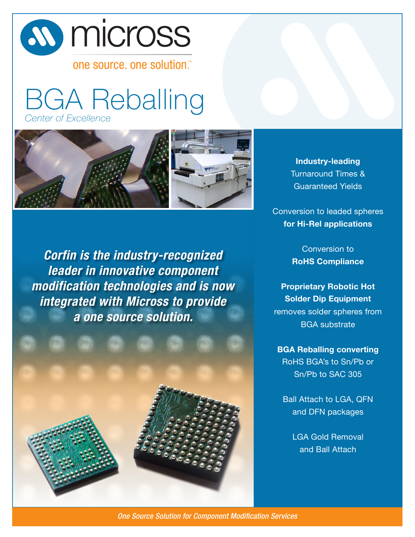# *A* micross

one source, one solution.

BGA Reballing *Center of Excellence*



*Corfin is the industry-recognized leader in innovative component modification technologies and is now integrated with Micross to provide a one source solution.*



**Industry-leading** Turnaround Times & Guaranteed Yields

Conversion to leaded spheres **for Hi-Rel applications**

> Conversion to **RoHS Compliance**

**Proprietary Robotic Hot Solder Dip Equipment**  removes solder spheres from BGA substrate

**BGA Reballing converting**  RoHS BGA's to Sn/Pb or Sn/Pb to SAC 305

Ball Attach to LGA, QFN and DFN packages

> LGA Gold Removal and Ball Attach

One Source Solution for Component Modification Services